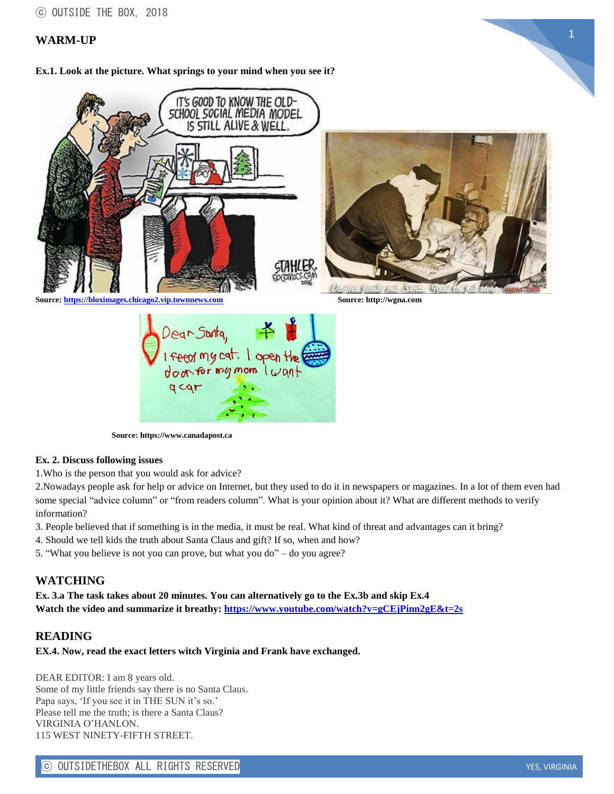# <sup>1</sup> **WARM-UP**

**Ex.1. Look at the picture. What springs to your mind when you see it?**



 **Source: https://www.canadapost.ca**

#### **Ex. 2. Discuss following issues**

1.Who is the person that you would ask for advice?

2.Nowadays people ask for help or advice on Internet, but they used to do it in newspapers or magazines. In a lot of them even had some special "advice column" or "from readers column". What is your opinion about it? What are different methods to verify information?

3. People believed that if something is in the media, it must be real. What kind of threat and advantages can it bring?

4. Should we tell kids the truth about Santa Claus and gift? If so, when and how?

5. "What you believe is not you can prove, but what you do" – do you agree?

# **WATCHING**

**Ex. 3.a The task takes about 20 minutes. You can alternatively go to the Ex.3b and skip Ex.4 Watch the video and summarize it breathy: <https://www.youtube.com/watch?v=gCEjPinn2gE&t=2s>**

#### **READING**

**EX.4. Now, read the exact letters witch Virginia and Frank have exchanged.**

DEAR EDITOR: I am 8 years old. Some of my little friends say there is no Santa Claus. Papa says, 'If you see it in THE SUN it's so.' Please tell me the truth; is there a Santa Claus? VIRGINIA O'HANLON. 115 WEST NINETY-FIFTH STREET.